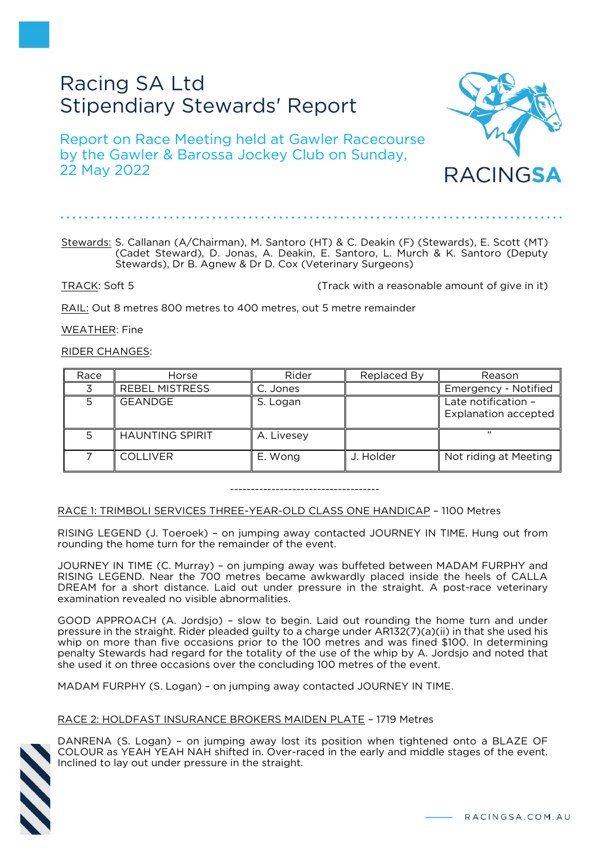# Racing SA Ltd Stipendiary Stewards' Report

Report on Race Meeting held at Gawler Racecourse by the Gawler & Barossa Jockey Club on Sunday, 22 May 2022

#### Stewards: S. Callanan (A/Chairman), M. Santoro (HT) & C. Deakin (F) (Stewards), E. Scott (MT) (Cadet Steward), D. Jonas, A. Deakin, E. Santoro, L. Murch & K. Santoro (Deputy Stewards), Dr B. Agnew & Dr D. Cox (Veterinary Surgeons)

TRACK: Soft 5 (Track with a reasonable amount of give in it)

RAIL: Out 8 metres 800 metres to 400 metres, out 5 metre remainder

WEATHER: Fine

## RIDER CHANGES:

| Race | Horse                  | Rider      | Replaced By | Reason                                             |
|------|------------------------|------------|-------------|----------------------------------------------------|
|      | <b>REBEL MISTRESS</b>  | C. Jones   |             | Emergency - Notified                               |
|      | <b>GEANDGE</b>         | S. Logan   |             | Late notification -<br><b>Explanation accepted</b> |
|      | <b>HAUNTING SPIRIT</b> | A. Livesey |             | $\epsilon$                                         |
|      | <b>COLLIVER</b>        | E. Wong    | J. Holder   | Not riding at Meeting                              |

------------------------------------

## RACE 1: TRIMBOLI SERVICES THREE-YEAR-OLD CLASS ONE HANDICAP – 1100 Metres

RISING LEGEND (J. Toeroek) – on jumping away contacted JOURNEY IN TIME. Hung out from rounding the home turn for the remainder of the event.

JOURNEY IN TIME (C. Murray) – on jumping away was buffeted between MADAM FURPHY and RISING LEGEND. Near the 700 metres became awkwardly placed inside the heels of CALLA DREAM for a short distance. Laid out under pressure in the straight. A post-race veterinary examination revealed no visible abnormalities.

GOOD APPROACH (A. Jordsjo) – slow to begin. Laid out rounding the home turn and under pressure in the straight. Rider pleaded guilty to a charge under AR132(7)(a)(ii) in that she used his whip on more than five occasions prior to the 100 metres and was fined \$100. In determining penalty Stewards had regard for the totality of the use of the whip by A. Jordsjo and noted that she used it on three occasions over the concluding 100 metres of the event.

MADAM FURPHY (S. Logan) – on jumping away contacted JOURNEY IN TIME.

## RACE 2: HOLDFAST INSURANCE BROKERS MAIDEN PLATE – 1719 Metres

DANRENA (S. Logan) – on jumping away lost its position when tightened onto a BLAZE OF COLOUR as YEAH YEAH NAH shifted in. Over-raced in the early and middle stages of the event. Inclined to lay out under pressure in the straight.

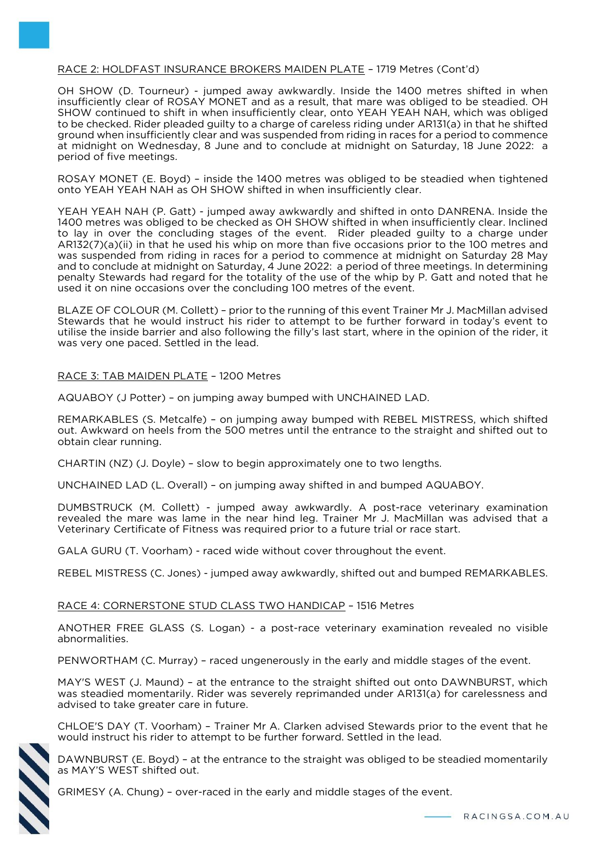## RACE 2: HOLDFAST INSURANCE BROKERS MAIDEN PLATE – 1719 Metres (Cont'd)

OH SHOW (D. Tourneur) - jumped away awkwardly. Inside the 1400 metres shifted in when insufficiently clear of ROSAY MONET and as a result, that mare was obliged to be steadied. OH SHOW continued to shift in when insufficiently clear, onto YEAH YEAH NAH, which was obliged to be checked. Rider pleaded guilty to a charge of careless riding under AR131(a) in that he shifted ground when insufficiently clear and was suspended from riding in races for a period to commence at midnight on Wednesday, 8 June and to conclude at midnight on Saturday, 18 June 2022: a period of five meetings.

ROSAY MONET (E. Boyd) – inside the 1400 metres was obliged to be steadied when tightened onto YEAH YEAH NAH as OH SHOW shifted in when insufficiently clear.

YEAH YEAH NAH (P. Gatt) - jumped away awkwardly and shifted in onto DANRENA. Inside the 1400 metres was obliged to be checked as OH SHOW shifted in when insufficiently clear. Inclined to lay in over the concluding stages of the event. Rider pleaded guilty to a charge under AR132(7)(a)(ii) in that he used his whip on more than five occasions prior to the 100 metres and was suspended from riding in races for a period to commence at midnight on Saturday 28 May and to conclude at midnight on Saturday, 4 June 2022: a period of three meetings. In determining penalty Stewards had regard for the totality of the use of the whip by P. Gatt and noted that he used it on nine occasions over the concluding 100 metres of the event.

BLAZE OF COLOUR (M. Collett) – prior to the running of this event Trainer Mr J. MacMillan advised Stewards that he would instruct his rider to attempt to be further forward in today's event to utilise the inside barrier and also following the filly's last start, where in the opinion of the rider, it was very one paced. Settled in the lead.

#### RACE 3: TAB MAIDEN PLATE – 1200 Metres

AQUABOY (J Potter) – on jumping away bumped with UNCHAINED LAD.

REMARKABLES (S. Metcalfe) – on jumping away bumped with REBEL MISTRESS, which shifted out. Awkward on heels from the 500 metres until the entrance to the straight and shifted out to obtain clear running.

CHARTIN (NZ) (J. Doyle) – slow to begin approximately one to two lengths.

UNCHAINED LAD (L. Overall) – on jumping away shifted in and bumped AQUABOY.

DUMBSTRUCK (M. Collett) - jumped away awkwardly. A post-race veterinary examination revealed the mare was lame in the near hind leg. Trainer Mr J. MacMillan was advised that a Veterinary Certificate of Fitness was required prior to a future trial or race start.

GALA GURU (T. Voorham) - raced wide without cover throughout the event.

REBEL MISTRESS (C. Jones) - jumped away awkwardly, shifted out and bumped REMARKABLES.

## RACE 4: CORNERSTONE STUD CLASS TWO HANDICAP – 1516 Metres

ANOTHER FREE GLASS (S. Logan) - a post-race veterinary examination revealed no visible abnormalities.

PENWORTHAM (C. Murray) – raced ungenerously in the early and middle stages of the event.

MAY'S WEST (J. Maund) – at the entrance to the straight shifted out onto DAWNBURST, which was steadied momentarily. Rider was severely reprimanded under AR131(a) for carelessness and advised to take greater care in future.

CHLOE'S DAY (T. Voorham) – Trainer Mr A. Clarken advised Stewards prior to the event that he would instruct his rider to attempt to be further forward. Settled in the lead.



DAWNBURST (E. Boyd) – at the entrance to the straight was obliged to be steadied momentarily as MAY'S WEST shifted out.

GRIMESY (A. Chung) – over-raced in the early and middle stages of the event.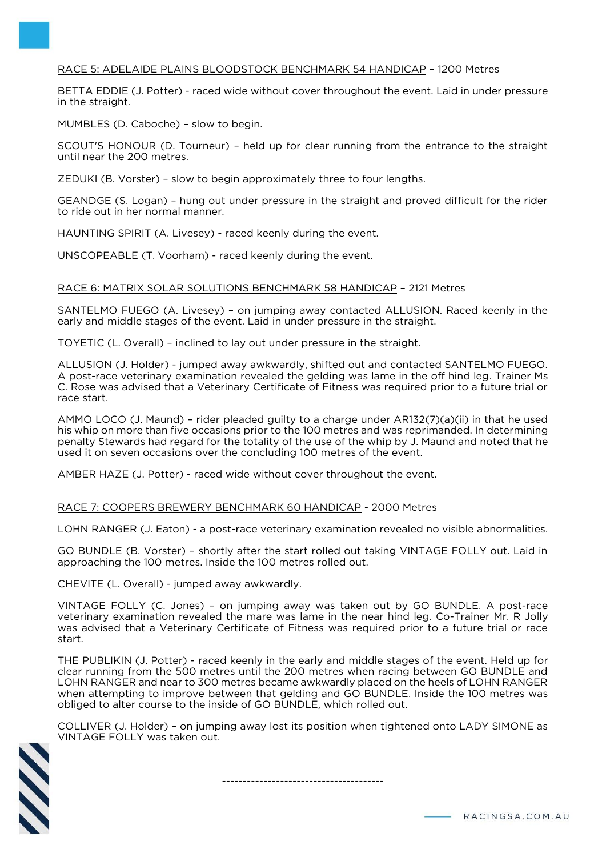## RACE 5: ADELAIDE PLAINS BLOODSTOCK BENCHMARK 54 HANDICAP – 1200 Metres

BETTA EDDIE (J. Potter) - raced wide without cover throughout the event. Laid in under pressure in the straight.

MUMBLES (D. Caboche) – slow to begin.

SCOUT'S HONOUR (D. Tourneur) – held up for clear running from the entrance to the straight until near the 200 metres.

ZEDUKI (B. Vorster) – slow to begin approximately three to four lengths.

GEANDGE (S. Logan) – hung out under pressure in the straight and proved difficult for the rider to ride out in her normal manner.

HAUNTING SPIRIT (A. Livesey) - raced keenly during the event.

UNSCOPEABLE (T. Voorham) - raced keenly during the event.

#### RACE 6: MATRIX SOLAR SOLUTIONS BENCHMARK 58 HANDICAP – 2121 Metres

SANTELMO FUEGO (A. Livesey) – on jumping away contacted ALLUSION. Raced keenly in the early and middle stages of the event. Laid in under pressure in the straight.

TOYETIC (L. Overall) – inclined to lay out under pressure in the straight.

ALLUSION (J. Holder) - jumped away awkwardly, shifted out and contacted SANTELMO FUEGO. A post-race veterinary examination revealed the gelding was lame in the off hind leg. Trainer Ms C. Rose was advised that a Veterinary Certificate of Fitness was required prior to a future trial or race start.

AMMO LOCO (J. Maund) – rider pleaded guilty to a charge under AR132(7)(a)(ii) in that he used his whip on more than five occasions prior to the 100 metres and was reprimanded. In determining penalty Stewards had regard for the totality of the use of the whip by J. Maund and noted that he used it on seven occasions over the concluding 100 metres of the event.

AMBER HAZE (J. Potter) - raced wide without cover throughout the event.

#### RACE 7: COOPERS BREWERY BENCHMARK 60 HANDICAP - 2000 Metres

LOHN RANGER (J. Eaton) - a post-race veterinary examination revealed no visible abnormalities.

GO BUNDLE (B. Vorster) – shortly after the start rolled out taking VINTAGE FOLLY out. Laid in approaching the 100 metres. Inside the 100 metres rolled out.

CHEVITE (L. Overall) - jumped away awkwardly.

VINTAGE FOLLY (C. Jones) – on jumping away was taken out by GO BUNDLE. A post-race veterinary examination revealed the mare was lame in the near hind leg. Co-Trainer Mr. R Jolly was advised that a Veterinary Certificate of Fitness was required prior to a future trial or race start.

THE PUBLIKIN (J. Potter) - raced keenly in the early and middle stages of the event. Held up for clear running from the 500 metres until the 200 metres when racing between GO BUNDLE and LOHN RANGER and near to 300 metres became awkwardly placed on the heels of LOHN RANGER when attempting to improve between that gelding and GO BUNDLE. Inside the 100 metres was obliged to alter course to the inside of GO BUNDLE, which rolled out.

COLLIVER (J. Holder) – on jumping away lost its position when tightened onto LADY SIMONE as VINTAGE FOLLY was taken out.



---------------------------------------